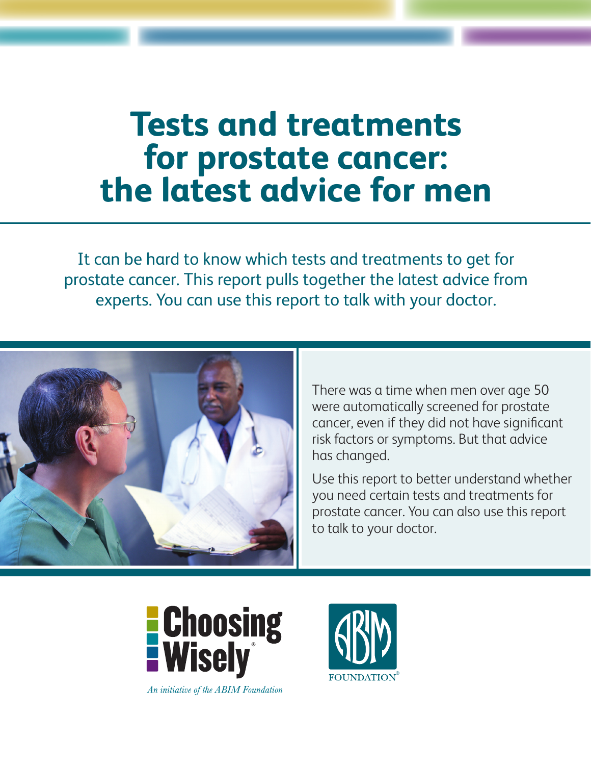# **Tests and treatments for prostate cancer: the latest advice for men**

It can be hard to know which tests and treatments to get for prostate cancer. This report pulls together the latest advice from experts. You can use this report to talk with your doctor.



There was a time when men over age 50 were automatically screened for prostate cancer, even if they did not have significant risk factors or symptoms. But that advice has changed.

Use this report to better understand whether you need certain tests and treatments for prostate cancer. You can also use this report to talk to your doctor.



An initiative of the ABIM Foundation

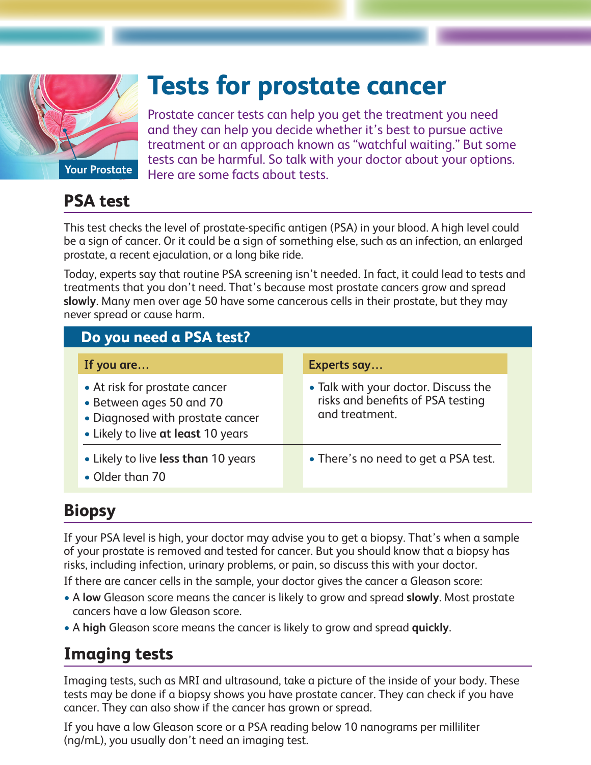

## **Tests for prostate cancer**

Prostate cancer tests can help you get the treatment you need and they can help you decide whether it's best to pursue active treatment or an approach known as "watchful waiting." But some tests can be harmful. So talk with your doctor about your options. Here are some facts about tests.

**PSA test** 

This test checks the level of prostate-specific antigen (PSA) in your blood. A high level could be a sign of cancer. Or it could be a sign of something else, such as an infection, an enlarged prostate, a recent ejaculation, or a long bike ride.

Today, experts say that routine PSA screening isn't needed. In fact, it could lead to tests and treatments that you don't need. That's because most prostate cancers grow and spread **slowly**. Many men over age 50 have some cancerous cells in their prostate, but they may never spread or cause harm.

| Do you need a PSA test?                                                                                                             |                                                                                             |
|-------------------------------------------------------------------------------------------------------------------------------------|---------------------------------------------------------------------------------------------|
| If you are                                                                                                                          | Experts say                                                                                 |
| • At risk for prostate cancer<br>• Between ages 50 and 70<br>• Diagnosed with prostate cancer<br>• Likely to live at least 10 years | • Talk with your doctor. Discuss the<br>risks and benefits of PSA testing<br>and treatment. |
| • Likely to live less than 10 years<br>• Older than 70                                                                              | • There's no need to get a PSA test.                                                        |

### **Biopsy**

If your PSA level is high, your doctor may advise you to get a biopsy. That's when a sample of your prostate is removed and tested for cancer. But you should know that a biopsy has risks, including infection, urinary problems, or pain, so discuss this with your doctor.

If there are cancer cells in the sample, your doctor gives the cancer a Gleason score:

- A **low** Gleason score means the cancer is likely to grow and spread **slowly**. Most prostate cancers have a low Gleason score.
- A **high** Gleason score means the cancer is likely to grow and spread **quickly**.

### **Imaging tests**

Imaging tests, such as MRI and ultrasound, take a picture of the inside of your body. These tests may be done if a biopsy shows you have prostate cancer. They can check if you have cancer. They can also show if the cancer has grown or spread.

If you have a low Gleason score or a PSA reading below 10 nanograms per milliliter (ng/mL), you usually don't need an imaging test.